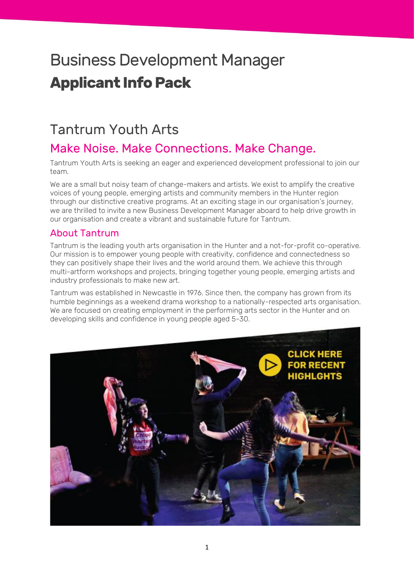# Business Development Manager **Applicant Info Pack**

# Tantrum Youth Arts

# Make Noise. Make Connections. Make Change.

Tantrum Youth Arts is seeking an eager and experienced development professional to join our team.

We are a small but noisy team of change-makers and artists. We exist to amplify the creative voices of young people, emerging artists and community members in the Hunter region through our distinctive creative programs. At an exciting stage in our organisation's journey, we are thrilled to invite a new Business Development Manager aboard to help drive growth in our organisation and create a vibrant and sustainable future for Tantrum.

## About Tantrum

Tantrum is the leading youth arts organisation in the Hunter and a not-for-profit co-operative. Our mission is to empower young people with creativity, confidence and connectedness so they can positively shape their lives and the world around them. We achieve this through multi-artform workshops and projects, bringing together young people, emerging artists and industry professionals to make new art.

Tantrum was established in Newcastle in 1976. Since then, the company has grown from its humble beginnings as a weekend drama workshop to a nationally-respected arts organisation. We are focused on creating employment in the performing arts sector in the Hunter and on developing skills and confidence in young people aged 5-30.

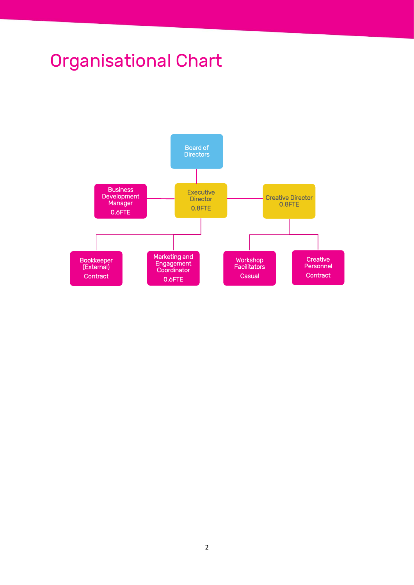# Organisational Chart

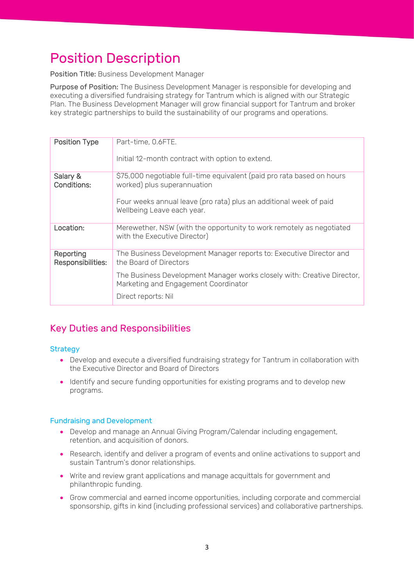# Position Description

Position Title: Business Development Manager

Purpose of Position: The Business Development Manager is responsible for developing and executing a diversified fundraising strategy for Tantrum which is aligned with our Strategic Plan. The Business Development Manager will grow financial support for Tantrum and broker key strategic partnerships to build the sustainability of our programs and operations.

| <b>Position Type</b>           | Part-time, 0.6FTE.<br>Initial 12-month contract with option to extend.                                                                                                                                                                  |
|--------------------------------|-----------------------------------------------------------------------------------------------------------------------------------------------------------------------------------------------------------------------------------------|
| Salary &<br>Conditions:        | \$75,000 negotiable full-time equivalent (paid pro rata based on hours<br>worked) plus superannuation<br>Four weeks annual leave (pro rata) plus an additional week of paid<br>Wellbeing Leave each year.                               |
| Location:                      | Merewether, NSW (with the opportunity to work remotely as negotiated<br>with the Executive Director)                                                                                                                                    |
| Reporting<br>Responsibilities: | The Business Development Manager reports to: Executive Director and<br>the Board of Directors<br>The Business Development Manager works closely with: Creative Director,<br>Marketing and Engagement Coordinator<br>Direct reports: Nil |

## Key Duties and Responsibilities

#### **Strategy**

- Develop and execute a diversified fundraising strategy for Tantrum in collaboration with the Executive Director and Board of Directors
- Identify and secure funding opportunities for existing programs and to develop new programs.

#### Fundraising and Development

- Develop and manage an Annual Giving Program/Calendar including engagement, retention, and acquisition of donors.
- Research, identify and deliver a program of events and online activations to support and sustain Tantrum's donor relationships.
- Write and review grant applications and manage acquittals for government and philanthropic funding.
- Grow commercial and earned income opportunities, including corporate and commercial sponsorship, gifts in kind (including professional services) and collaborative partnerships.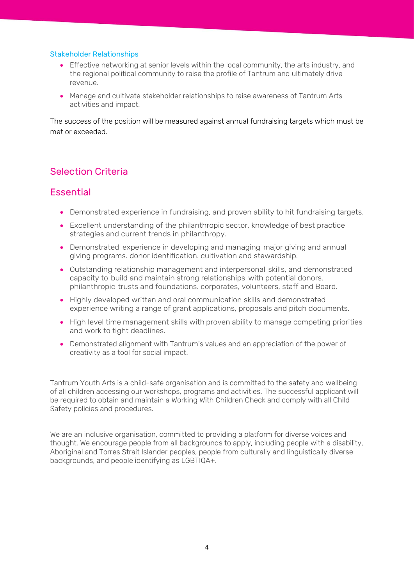#### Stakeholder Relationships

- Effective networking at senior levels within the local community, the arts industry, and the regional political community to raise the profile of Tantrum and ultimately drive revenue.
- Manage and cultivate stakeholder relationships to raise awareness of Tantrum Arts activities and impact.

The success of the position will be measured against annual fundraising targets which must be met or exceeded.

## Selection Criteria

### **Essential**

- Demonstrated experience in fundraising, and proven ability to hit fundraising targets.
- Excellent understanding of the philanthropic sector, knowledge of best practice strategies and current trends in philanthropy.
- Demonstrated experience in developing and managing major giving and annual giving programs. donor identification. cultivation and stewardship.
- Outstanding relationship management and interpersonal skills, and demonstrated capacity to build and maintain strong relationships with potential donors. philanthropic trusts and foundations. corporates, volunteers, staff and Board.
- Highly developed written and oral communication skills and demonstrated experience writing a range of grant applications, proposals and pitch documents.
- High level time management skills with proven ability to manage competing priorities and work to tight deadlines.
- Demonstrated alignment with Tantrum's values and an appreciation of the power of creativity as a tool for social impact.

Tantrum Youth Arts is a child-safe organisation and is committed to the safety and wellbeing of all children accessing our workshops, programs and activities. The successful applicant will be required to obtain and maintain a Working With Children Check and comply with all Child Safety policies and procedures.

We are an inclusive organisation, committed to providing a platform for diverse voices and thought. We encourage people from all backgrounds to apply, including people with a disability, Aboriginal and Torres Strait Islander peoples, people from culturally and linguistically diverse backgrounds, and people identifying as LGBTIQA+.